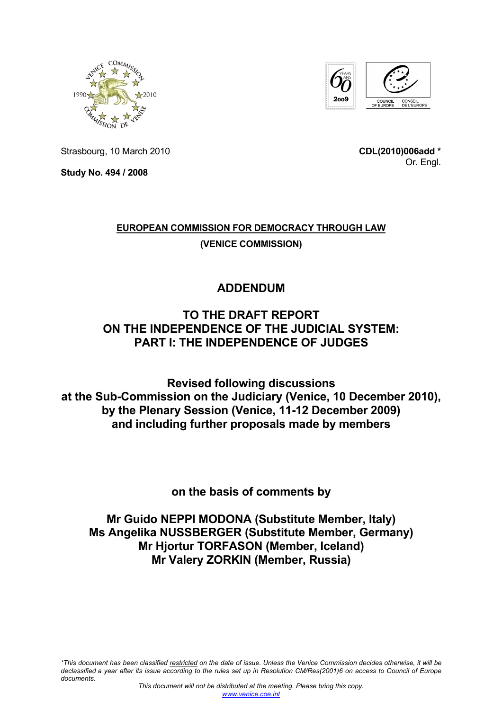



Strasbourg, 10 March 2010

**Study No. 494 / 2008** 

**CDL(2010)006add \*** Or. Engl.

### **EUROPEAN COMMISSION FOR DEMOCRACY THROUGH LAW (VENICE COMMISSION)**

# **ADDENDUM**

## **TO THE DRAFT REPORT ON THE INDEPENDENCE OF THE JUDICIAL SYSTEM: PART I: THE INDEPENDENCE OF JUDGES**

**Revised following discussions at the Sub-Commission on the Judiciary (Venice, 10 December 2010), by the Plenary Session (Venice, 11-12 December 2009) and including further proposals made by members** 

**on the basis of comments by** 

**Mr Guido NEPPI MODONA (Substitute Member, Italy) Ms Angelika NUSSBERGER (Substitute Member, Germany) Mr Hjortur TORFASON (Member, Iceland) Mr Valery ZORKIN (Member, Russia)** 

*\*This document has been classified restricted on the date of issue. Unless the Venice Commission decides otherwise, it will be declassified a year after its issue according to the rules set up in Resolution CM/Res(2001)6 on access to Council of Europe documents.*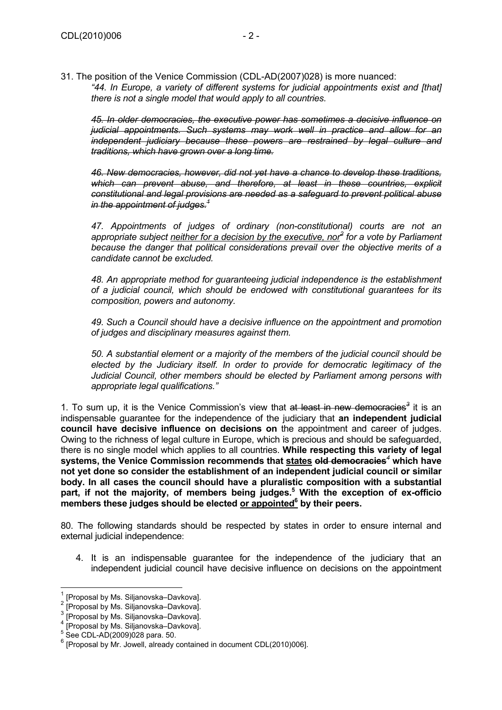31. The position of the Venice Commission (CDL-AD(2007)028) is more nuanced:

*"44. In Europe, a variety of different systems for judicial appointments exist and [that] there is not a single model that would apply to all countries.* 

*45. In older democracies, the executive power has sometimes a decisive influence on judicial appointments. Such systems may work well in practice and allow for an independent judiciary because these powers are restrained by legal culture and traditions, which have grown over a long time.*

*46. New democracies, however, did not yet have a chance to develop these traditions, which can prevent abuse, and therefore, at least in these countries, explicit constitutional and legal provisions are needed as a safeguard to prevent political abuse in the appointment of judges.1*

*47. Appointments of judges of ordinary (non-constitutional) courts are not an*  appropriate subject neither for a decision by the executive, nor<sup>2</sup> for a vote by Parliament *because the danger that political considerations prevail over the objective merits of a candidate cannot be excluded.* 

*48. An appropriate method for guaranteeing judicial independence is the establishment of a judicial council, which should be endowed with constitutional guarantees for its composition, powers and autonomy.* 

*49. Such a Council should have a decisive influence on the appointment and promotion of judges and disciplinary measures against them.* 

*50. A substantial element or a majority of the members of the judicial council should be elected by the Judiciary itself. In order to provide for democratic legitimacy of the Judicial Council, other members should be elected by Parliament among persons with appropriate legal qualifications."* 

1. To sum up, it is the Venice Commission's view that at least in new democracies<sup>3</sup> it is an indispensable guarantee for the independence of the judiciary that **an independent judicial council have decisive influence on decisions on** the appointment and career of judges. Owing to the richness of legal culture in Europe, which is precious and should be safeguarded, there is no single model which applies to all countries. **While respecting this variety of legal systems, the Venice Commission recommends that states old democracies***<sup>4</sup>*  **which have not yet done so consider the establishment of an independent judicial council or similar body. In all cases the council should have a pluralistic composition with a substantial part, if not the majority, of members being judges.5 With the exception of ex-officio**  members these judges should be elected or appointed<sup>6</sup> by their peers.

80. The following standards should be respected by states in order to ensure internal and external judicial independence:

4. It is an indispensable guarantee for the independence of the judiciary that an independent judicial council have decisive influence on decisions on the appointment

<sup>&</sup>lt;sup>1</sup> [Proposal by Ms. Siljanovska–Davkova].

<sup>[</sup>Proposal by Ms. Siljanovska–Davkova].

<sup>[</sup>Proposal by Ms. Siljanovska–Davkova].

<sup>[</sup>Proposal by Ms. Siljanovska–Davkova].

 $5$  See CDL-AD(2009)028 para. 50.

<sup>[</sup>Proposal by Mr. Jowell, already contained in document CDL(2010)006].